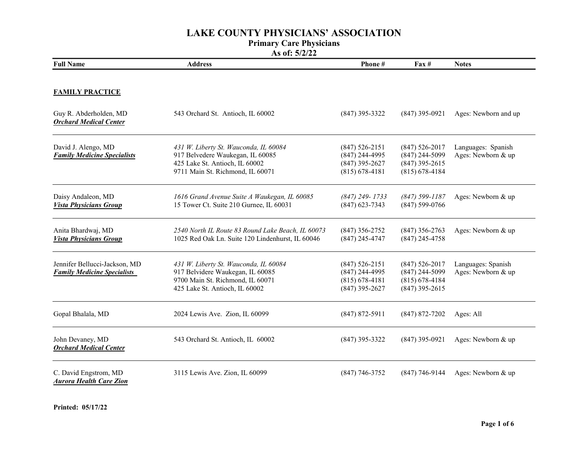### Primary Care Physicians

| <b>Full Name</b>                                                    | <b>Address</b>                                                                                                                                  | Phone#                                                                           | $\mathbf{Fax} \#$                                                              | <b>Notes</b>                             |
|---------------------------------------------------------------------|-------------------------------------------------------------------------------------------------------------------------------------------------|----------------------------------------------------------------------------------|--------------------------------------------------------------------------------|------------------------------------------|
| <b>FAMILY PRACTICE</b>                                              |                                                                                                                                                 |                                                                                  |                                                                                |                                          |
| Guy R. Abderholden, MD<br><b>Orchard Medical Center</b>             | 543 Orchard St. Antioch, IL 60002                                                                                                               | $(847)$ 395-3322                                                                 | $(847)$ 395-0921                                                               | Ages: Newborn and up                     |
| David J. Alengo, MD<br><b>Family Medicine Specialists</b>           | 431 W. Liberty St. Wauconda, IL 60084<br>917 Belvedere Waukegan, IL 60085<br>425 Lake St. Antioch, IL 60002<br>9711 Main St. Richmond, IL 60071 | $(847)$ 526-2151<br>$(847)$ 244-4995<br>$(847)$ 395-2627<br>$(815) 678 - 4181$   | $(847)$ 526-2017<br>$(847)$ 244-5099<br>$(847)$ 395-2615<br>$(815) 678 - 4184$ | Languages: Spanish<br>Ages: Newborn & up |
| Daisy Andaleon, MD<br><b>Vista Physicians Group</b>                 | 1616 Grand Avenue Suite A Waukegan, IL 60085<br>15 Tower Ct. Suite 210 Gurnee, IL 60031                                                         | $(847)$ 249-1733<br>$(847)$ 623-7343                                             | $(847)$ 599-1187<br>$(847)$ 599-0766                                           | Ages: Newborn & up                       |
| Anita Bhardwaj, MD<br><b>Vista Physicians Group</b>                 | 2540 North IL Route 83 Round Lake Beach, IL 60073<br>1025 Red Oak Ln. Suite 120 Lindenhurst, IL 60046                                           | $(847)$ 356-2752<br>$(847)$ 245-4747                                             | $(847)$ 356-2763<br>$(847)$ 245-4758                                           | Ages: Newborn & up                       |
| Jennifer Bellucci-Jackson, MD<br><b>Family Medicine Specialists</b> | 431 W. Liberty St. Wauconda, IL 60084<br>917 Belvidere Waukegan, IL 60085<br>9700 Main St. Richmond, IL 60071<br>425 Lake St. Antioch, IL 60002 | $(847) 526 - 2151$<br>$(847)$ 244-4995<br>$(815) 678 - 4181$<br>$(847)$ 395-2627 | $(847)$ 526-2017<br>$(847)$ 244-5099<br>$(815) 678 - 4184$<br>$(847)$ 395-2615 | Languages: Spanish<br>Ages: Newborn & up |
| Gopal Bhalala, MD                                                   | 2024 Lewis Ave. Zion, IL 60099                                                                                                                  | $(847) 872 - 5911$                                                               | $(847) 872 - 7202$                                                             | Ages: All                                |
| John Devaney, MD<br><b>Orchard Medical Center</b>                   | 543 Orchard St. Antioch, IL 60002                                                                                                               | $(847)$ 395-3322                                                                 | $(847)$ 395-0921                                                               | Ages: Newborn & up                       |
| C. David Engstrom, MD<br><b>Aurora Health Care Zion</b>             | 3115 Lewis Ave. Zion, IL 60099                                                                                                                  | $(847)$ 746-3752                                                                 | $(847)$ 746-9144                                                               | Ages: Newborn & up                       |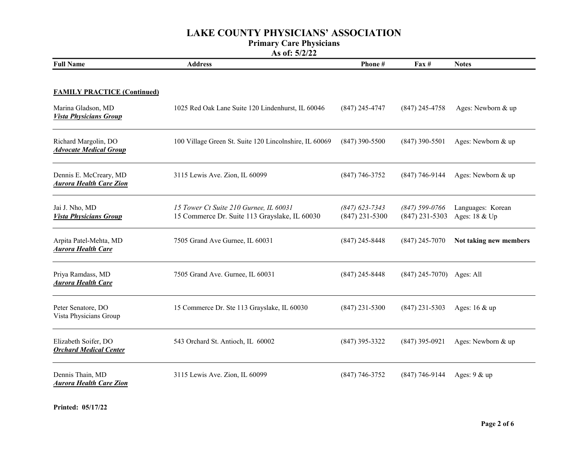#### Primary Care Physicians

| <b>Full Name</b>                                         | <b>Address</b>                                                                          | Phone#                               | $\text{Fax} \#$                      | <b>Notes</b>                       |
|----------------------------------------------------------|-----------------------------------------------------------------------------------------|--------------------------------------|--------------------------------------|------------------------------------|
| <b>FAMILY PRACTICE (Continued)</b>                       |                                                                                         |                                      |                                      |                                    |
| Marina Gladson, MD<br><b>Vista Physicians Group</b>      | 1025 Red Oak Lane Suite 120 Lindenhurst, IL 60046                                       | $(847)$ 245-4747                     | $(847)$ 245-4758                     | Ages: Newborn & up                 |
| Richard Margolin, DO<br><b>Advocate Medical Group</b>    | 100 Village Green St. Suite 120 Lincolnshire, IL 60069                                  | $(847)$ 390-5500                     | $(847)$ 390-5501                     | Ages: Newborn & up                 |
| Dennis E. McCreary, MD<br><b>Aurora Health Care Zion</b> | 3115 Lewis Ave. Zion, IL 60099                                                          | $(847)$ 746-3752                     | $(847)$ 746-9144                     | Ages: Newborn & up                 |
| Jai J. Nho, MD<br><b>Vista Physicians Group</b>          | 15 Tower Ct Suite 210 Gurnee, IL 60031<br>15 Commerce Dr. Suite 113 Grayslake, IL 60030 | $(847)$ 623-7343<br>$(847)$ 231-5300 | $(847)$ 599-0766<br>$(847)$ 231-5303 | Languages: Korean<br>Ages: 18 & Up |
| Arpita Patel-Mehta, MD<br><b>Aurora Health Care</b>      | 7505 Grand Ave Gurnee, IL 60031                                                         | $(847)$ 245-8448                     | $(847)$ 245-7070                     | Not taking new members             |
| Priya Ramdass, MD<br><b>Aurora Health Care</b>           | 7505 Grand Ave. Gurnee, IL 60031                                                        | $(847)$ 245-8448                     | $(847)$ 245-7070) Ages: All          |                                    |
| Peter Senatore, DO<br>Vista Physicians Group             | 15 Commerce Dr. Ste 113 Grayslake, IL 60030                                             | $(847)$ 231-5300                     | $(847)$ 231-5303                     | Ages: $16 \& up$                   |
| Elizabeth Soifer, DO<br><b>Orchard Medical Center</b>    | 543 Orchard St. Antioch, IL 60002                                                       | $(847)$ 395-3322                     | $(847)$ 395-0921                     | Ages: Newborn & up                 |
| Dennis Thain, MD<br><b>Aurora Health Care Zion</b>       | 3115 Lewis Ave. Zion, IL 60099                                                          | $(847)$ 746-3752                     | $(847)$ 746-9144                     | Ages: $9 &$ up                     |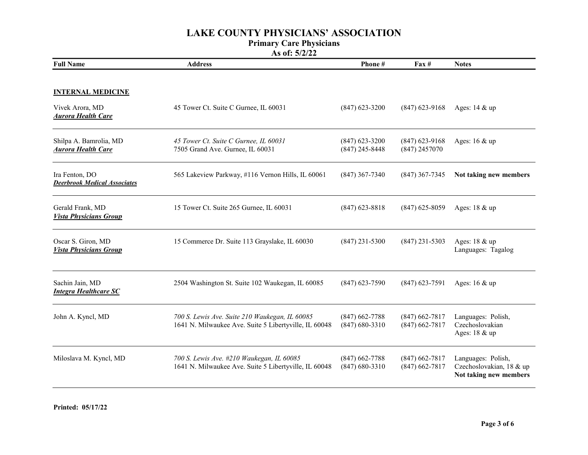#### Primary Care Physicians

| <b>Full Name</b>                                                         | <b>Address</b>                                                                                          | Phone#                               | $\mathbf{F}$ ax #                    | <b>Notes</b>                                                             |
|--------------------------------------------------------------------------|---------------------------------------------------------------------------------------------------------|--------------------------------------|--------------------------------------|--------------------------------------------------------------------------|
| <b>INTERNAL MEDICINE</b><br>Vivek Arora, MD<br><b>Aurora Health Care</b> | 45 Tower Ct. Suite C Gurnee, IL 60031                                                                   | $(847)$ 623-3200                     | $(847)$ 623-9168                     | Ages: 14 & up                                                            |
| Shilpa A. Bamrolia, MD<br><b>Aurora Health Care</b>                      | 45 Tower Ct. Suite C Gurnee, IL 60031<br>7505 Grand Ave. Gurnee, IL 60031                               | $(847)$ 623-3200<br>$(847)$ 245-8448 | $(847)$ 623-9168<br>$(847)$ 2457070  | Ages: $16 \& up$                                                         |
| Ira Fenton, DO<br><b>Deerbrook Medical Associates</b>                    | 565 Lakeview Parkway, #116 Vernon Hills, IL 60061                                                       | $(847)$ 367-7340                     | $(847)$ 367-7345                     | Not taking new members                                                   |
| Gerald Frank, MD<br><b>Vista Physicians Group</b>                        | 15 Tower Ct. Suite 265 Gurnee, IL 60031                                                                 | $(847)$ 623-8818                     | $(847)$ 625-8059                     | Ages: $18 \& up$                                                         |
| Oscar S. Giron, MD<br><b>Vista Physicians Group</b>                      | 15 Commerce Dr. Suite 113 Grayslake, IL 60030                                                           | $(847)$ 231-5300                     | $(847)$ 231-5303                     | Ages: 18 & up<br>Languages: Tagalog                                      |
| Sachin Jain, MD<br><b>Integra Healthcare SC</b>                          | 2504 Washington St. Suite 102 Waukegan, IL 60085                                                        | $(847)$ 623-7590                     | $(847)$ 623-7591                     | Ages: 16 & up                                                            |
| John A. Kyncl, MD                                                        | 700 S. Lewis Ave. Suite 210 Waukegan, IL 60085<br>1641 N. Milwaukee Ave. Suite 5 Libertyville, IL 60048 | $(847)$ 662-7788<br>$(847)$ 680-3310 | $(847)$ 662-7817<br>$(847)$ 662-7817 | Languages: Polish,<br>Czechoslovakian<br>Ages: 18 & up                   |
| Miloslava M. Kyncl, MD                                                   | 700 S. Lewis Ave. #210 Waukegan, IL 60085<br>1641 N. Milwaukee Ave. Suite 5 Libertyville, IL 60048      | $(847)$ 662-7788<br>$(847)$ 680-3310 | $(847)$ 662-7817<br>$(847)$ 662-7817 | Languages: Polish,<br>Czechoslovakian, 18 & up<br>Not taking new members |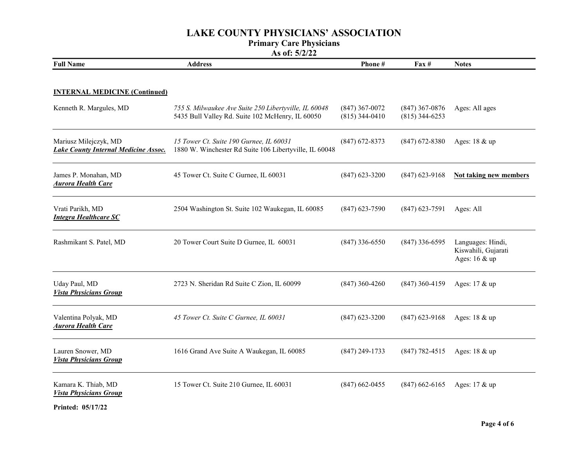#### Primary Care Physicians

As of: 5/2/22

| <b>Full Name</b>                                                     | <b>Address</b>                                                                                            | Phone #                              | $\mathbf{F}$ ax #                    | <b>Notes</b>                                              |
|----------------------------------------------------------------------|-----------------------------------------------------------------------------------------------------------|--------------------------------------|--------------------------------------|-----------------------------------------------------------|
| <b>INTERNAL MEDICINE (Continued)</b>                                 |                                                                                                           |                                      |                                      |                                                           |
| Kenneth R. Margules, MD                                              | 755 S. Milwaukee Ave Suite 250 Libertyville, IL 60048<br>5435 Bull Valley Rd. Suite 102 McHenry, IL 60050 | $(847)$ 367-0072<br>$(815)$ 344-0410 | $(847)$ 367-0876<br>$(815)$ 344-6253 | Ages: All ages                                            |
| Mariusz Milejczyk, MD<br><b>Lake County Internal Medicine Assoc.</b> | 15 Tower Ct. Suite 190 Gurnee, IL 60031<br>1880 W. Winchester Rd Suite 106 Libertyville, IL 60048         | $(847)$ 672-8373                     | $(847)$ 672-8380                     | Ages: 18 & up                                             |
| James P. Monahan, MD<br><b>Aurora Health Care</b>                    | 45 Tower Ct. Suite C Gurnee, IL 60031                                                                     | $(847)$ 623-3200                     | $(847)$ 623-9168                     | <b>Not taking new members</b>                             |
| Vrati Parikh, MD<br><b>Integra Healthcare SC</b>                     | 2504 Washington St. Suite 102 Waukegan, IL 60085                                                          | $(847)$ 623-7590                     | $(847)$ 623-7591                     | Ages: All                                                 |
| Rashmikant S. Patel, MD                                              | 20 Tower Court Suite D Gurnee, IL 60031                                                                   | $(847)$ 336-6550                     | $(847)$ 336-6595                     | Languages: Hindi,<br>Kiswahili, Gujarati<br>Ages: 16 & up |
| Uday Paul, MD<br><b>Vista Physicians Group</b>                       | 2723 N. Sheridan Rd Suite C Zion, IL 60099                                                                | $(847)$ 360-4260                     | $(847)$ 360-4159                     | Ages: 17 & up                                             |
| Valentina Polyak, MD<br><b>Aurora Health Care</b>                    | 45 Tower Ct. Suite C Gurnee, IL 60031                                                                     | $(847)$ 623-3200                     | $(847)$ 623-9168                     | Ages: 18 & up                                             |
| Lauren Snower, MD<br><b>Vista Physicians Group</b>                   | 1616 Grand Ave Suite A Waukegan, IL 60085                                                                 | $(847)$ 249-1733                     | $(847)$ 782-4515                     | Ages: 18 & up                                             |
| Kamara K. Thiab, MD<br><b>Vista Physicians Group</b>                 | 15 Tower Ct. Suite 210 Gurnee, IL 60031                                                                   | $(847)$ 662-0455                     | $(847)$ 662-6165                     | Ages: $17 \& \text{up}$                                   |

Printed: 05/17/22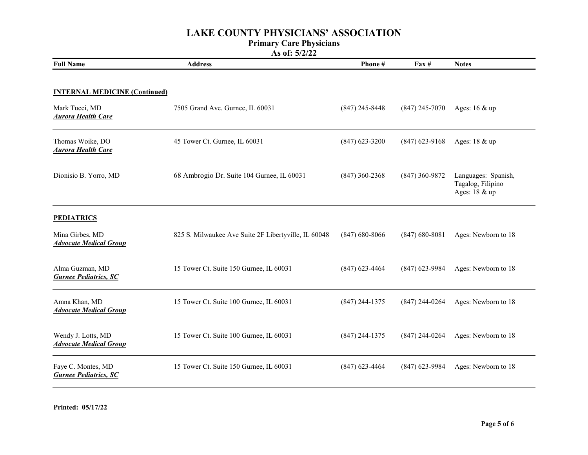#### Primary Care Physicians

| <b>Full Name</b>                                                                    | <b>Address</b>                                       | Phone#           | $\textbf{Fax} \#$ | <b>Notes</b>                                              |
|-------------------------------------------------------------------------------------|------------------------------------------------------|------------------|-------------------|-----------------------------------------------------------|
| <b>INTERNAL MEDICINE (Continued)</b><br>Mark Tucci, MD<br><b>Aurora Health Care</b> | 7505 Grand Ave. Gurnee, IL 60031                     | $(847)$ 245-8448 | $(847)$ 245-7070  | Ages: $16 \& up$                                          |
| Thomas Woike, DO<br><b>Aurora Health Care</b>                                       | 45 Tower Ct. Gurnee, IL 60031                        | $(847)$ 623-3200 | $(847)$ 623-9168  | Ages: $18 \& up$                                          |
| Dionisio B. Yorro, MD                                                               | 68 Ambrogio Dr. Suite 104 Gurnee, IL 60031           | $(847)$ 360-2368 | $(847)$ 360-9872  | Languages: Spanish,<br>Tagalog, Filipino<br>Ages: 18 & up |
| <b>PEDIATRICS</b><br>Mina Girbes, MD<br><b>Advocate Medical Group</b>               | 825 S. Milwaukee Ave Suite 2F Libertyville, IL 60048 | $(847)$ 680-8066 | $(847)$ 680-8081  | Ages: Newborn to 18                                       |
| Alma Guzman, MD<br><b>Gurnee Pediatrics, SC</b>                                     | 15 Tower Ct. Suite 150 Gurnee, IL 60031              | $(847)$ 623-4464 | $(847)$ 623-9984  | Ages: Newborn to 18                                       |
| Amna Khan, MD<br><b>Advocate Medical Group</b>                                      | 15 Tower Ct. Suite 100 Gurnee, IL 60031              | $(847)$ 244-1375 | $(847)$ 244-0264  | Ages: Newborn to 18                                       |
| Wendy J. Lotts, MD<br><b>Advocate Medical Group</b>                                 | 15 Tower Ct. Suite 100 Gurnee, IL 60031              | $(847)$ 244-1375 | $(847)$ 244-0264  | Ages: Newborn to 18                                       |
| Faye C. Montes, MD<br><b>Gurnee Pediatrics, SC</b>                                  | 15 Tower Ct. Suite 150 Gurnee, IL 60031              | $(847)$ 623-4464 | $(847)$ 623-9984  | Ages: Newborn to 18                                       |